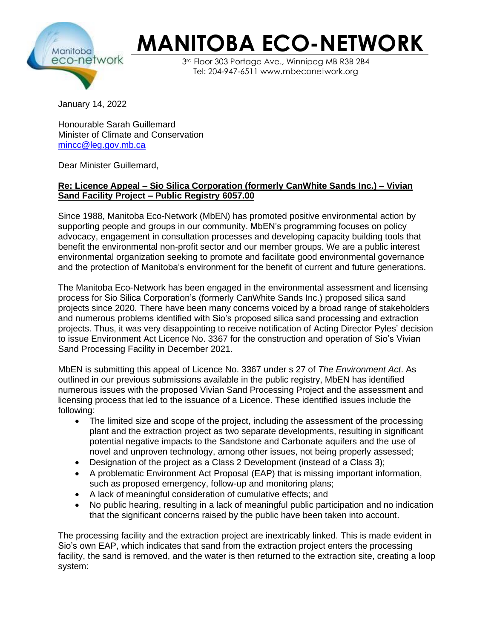

## **MANITOBA ECO-NETWORK**

3rd Floor 303 Portage Ave., Winnipeg MB R3B 2B4 Tel: 204-947-6511 www.mbeconetwork.org

January 14, 2022

Honourable Sarah Guillemard Minister of Climate and Conservation [mincc@leg.gov.mb.ca](mailto:mincc@leg.gov.mb.ca)

Dear Minister Guillemard,

## **Re: Licence Appeal – Sio Silica Corporation (formerly CanWhite Sands Inc.) – Vivian Sand Facility Project – Public Registry 6057.00**

Since 1988, Manitoba Eco-Network (MbEN) has promoted positive environmental action by supporting people and groups in our community. MbEN's programming focuses on policy advocacy, engagement in consultation processes and developing capacity building tools that benefit the environmental non-profit sector and our member groups. We are a public interest environmental organization seeking to promote and facilitate good environmental governance and the protection of Manitoba's environment for the benefit of current and future generations.

The Manitoba Eco-Network has been engaged in the environmental assessment and licensing process for Sio Silica Corporation's (formerly CanWhite Sands Inc.) proposed silica sand projects since 2020. There have been many concerns voiced by a broad range of stakeholders and numerous problems identified with Sio's proposed silica sand processing and extraction projects. Thus, it was very disappointing to receive notification of Acting Director Pyles' decision to issue Environment Act Licence No. 3367 for the construction and operation of Sio's Vivian Sand Processing Facility in December 2021.

MbEN is submitting this appeal of Licence No. 3367 under s 27 of *The Environment Act*. As outlined in our previous submissions available in the public registry, MbEN has identified numerous issues with the proposed Vivian Sand Processing Project and the assessment and licensing process that led to the issuance of a Licence. These identified issues include the following:

- The limited size and scope of the project, including the assessment of the processing plant and the extraction project as two separate developments, resulting in significant potential negative impacts to the Sandstone and Carbonate aquifers and the use of novel and unproven technology, among other issues, not being properly assessed;
- Designation of the project as a Class 2 Development (instead of a Class 3);
- A problematic Environment Act Proposal (EAP) that is missing important information, such as proposed emergency, follow-up and monitoring plans;
- A lack of meaningful consideration of cumulative effects; and
- No public hearing, resulting in a lack of meaningful public participation and no indication that the significant concerns raised by the public have been taken into account.

The processing facility and the extraction project are inextricably linked. This is made evident in Sio's own EAP, which indicates that sand from the extraction project enters the processing facility, the sand is removed, and the water is then returned to the extraction site, creating a loop system: